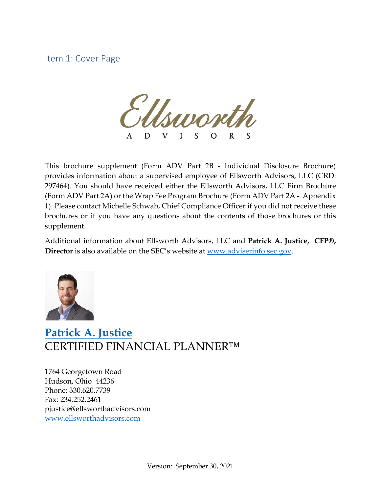Item 1: Cover Page

Lynon D V L  $\mathbf S$  $\Omega$  $\mathsf{S}$ 

This brochure supplement (Form ADV Part 2B - Individual Disclosure Brochure) provides information about a supervised employee of Ellsworth Advisors, LLC (CRD: 297464). You should have received either the Ellsworth Advisors, LLC Firm Brochure (Form ADV Part 2A) or the Wrap Fee Program Brochure (Form ADV Part 2A - Appendix 1). Please contact Michelle Schwab, Chief Compliance Officer if you did not receive these brochures or if you have any questions about the contents of those brochures or this supplement.

Additional information about Ellsworth Advisors, LLC and **Patrick A. Justice, CFP®, Director** is also available on the SEC's website at [www.adviserinfo.sec.gov.](http://www.adviserinfo.sec.gov/)



# **[Patrick A. Justice](https://www.ellsworthadvisors.com/leadership/patrick-justice/)** CERTIFIED FINANCIAL PLANNER™

1764 Georgetown Road Hudson, Ohio 44236 Phone: 330.620.7739 Fax: 234.252.2461 pjustice@ellsworthadvisors.com [www.ellsworthadvisors.com](http://www.ellsworthadvisors.com/)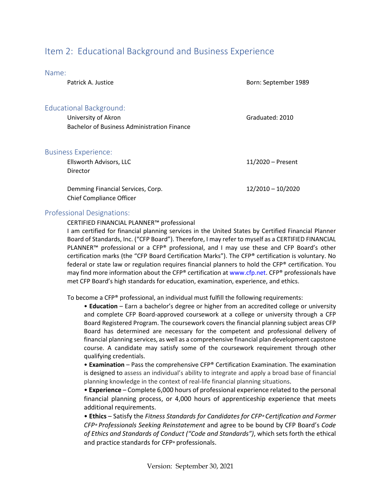# Item 2: Educational Background and Business Experience

Name:

| Patrick A. Justice                                                                                   | Born: September 1989 |
|------------------------------------------------------------------------------------------------------|----------------------|
| Educational Background:<br>University of Akron<br><b>Bachelor of Business Administration Finance</b> | Graduated: 2010      |
| <b>Business Experience:</b><br>Ellsworth Advisors, LLC<br>Director                                   | $11/2020$ – Present  |
| Demming Financial Services, Corp.<br><b>Chief Compliance Officer</b>                                 | $12/2010 - 10/2020$  |

#### Professional Designations:

CERTIFIED FINANCIAL PLANNER™ professional

I am certified for financial planning services in the United States by Certified Financial Planner Board of Standards, Inc. ("CFP Board"). Therefore, I may refer to myself as a CERTIFIED FINANCIAL PLANNER™ professional or a CFP® professional, and I may use these and CFP Board's other certification marks (the "CFP Board Certification Marks"). The CFP® certification is voluntary. No federal or state law or regulation requires financial planners to hold the CFP® certification. You may find more information about the CFP® certification at www.cfp.net. CFP® professionals have met CFP Board's high standards for education, examination, experience, and ethics.

To become a CFP® professional, an individual must fulfill the following requirements:

• **Education** – Earn a bachelor's degree or higher from an accredited college or university and complete CFP Board-approved coursework at a college or university through a CFP Board Registered Program. The coursework covers the financial planning subject areas CFP Board has determined are necessary for the competent and professional delivery of financial planning services, as well as a comprehensive financial plan development capstone course. A candidate may satisfy some of the coursework requirement through other qualifying credentials.

• **Examination** – Pass the comprehensive CFP® Certification Examination. The examination is designed to assess an individual's ability to integrate and apply a broad base of financial planning knowledge in the context of real-life financial planning situations.

• **Experience** – Complete 6,000 hours of professional experience related to the personal financial planning process, or 4,000 hours of apprenticeship experience that meets additional requirements.

• **Ethics** – Satisfy the *Fitness Standards for Candidates for CFP® Certification and Former CFP® Professionals Seeking Reinstatement* and agree to be bound by CFP Board's *Code of Ethics and Standards of Conduct ("Code and Standards")*, which sets forth the ethical and practice standards for CFP® professionals.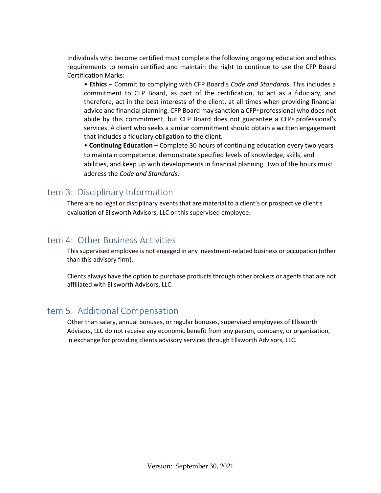Individuals who become certified must complete the following ongoing education and ethics requirements to remain certified and maintain the right to continue to use the CFP Board Certification Marks:

• **Ethics** – Commit to complying with CFP Board's *Code and Standards*. This includes a commitment to CFP Board, as part of the certification, to act as a fiduciary, and therefore, act in the best interests of the client, at all times when providing financial advice and financial planning. CFP Board may sanction a CFP® professional who does not abide by this commitment, but CFP Board does not guarantee a CFP® professional's services. A client who seeks a similar commitment should obtain a written engagement that includes a fiduciary obligation to the client.

• **Continuing Education** – Complete 30 hours of continuing education every two years to maintain competence, demonstrate specified levels of knowledge, skills, and abilities, and keep up with developments in financial planning. Two of the hours must address the *Code and Standards*.

### Item 3: Disciplinary Information

There are no legal or disciplinary events that are material to a client's or prospective client's evaluation of Ellsworth Advisors, LLC or this supervised employee.

#### Item 4: Other Business Activities

This supervised employee is not engaged in any investment-related business or occupation (other than this advisory firm).

Clients always have the option to purchase products through other brokers or agents that are not affiliated with Ellsworth Advisors, LLC.

## Item 5: Additional Compensation

Other than salary, annual bonuses, or regular bonuses, supervised employees of Ellsworth Advisors, LLC do not receive any economic benefit from any person, company, or organization, in exchange for providing clients advisory services through Ellsworth Advisors, LLC.